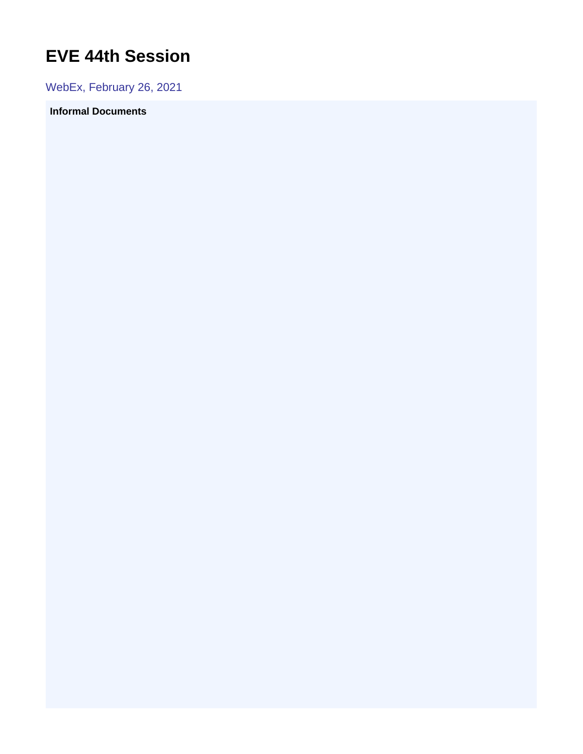## <span id="page-0-0"></span>**EVE 44th Session**

WebEx, February 26, 2021

## **Informal Documents**